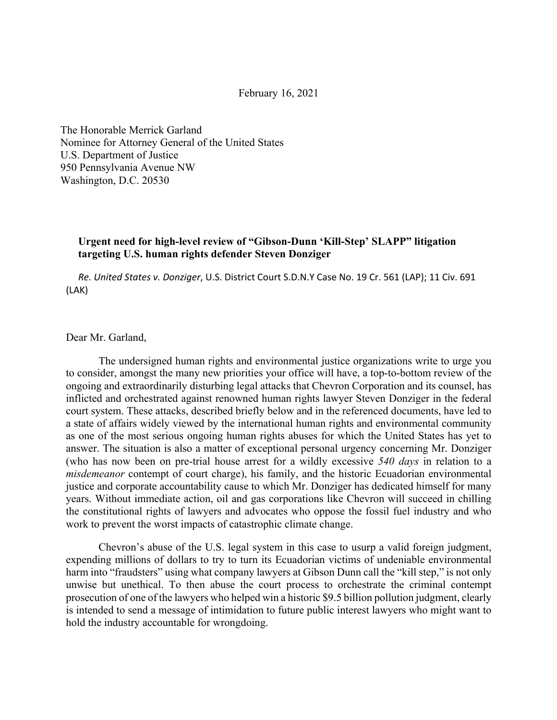February 16, 2021

The Honorable Merrick Garland Nominee for Attorney General of the United States U.S. Department of Justice 950 Pennsylvania Avenue NW Washington, D.C. 20530

## **Urgent need for high-level review of "Gibson-Dunn 'Kill-Step' SLAPP" litigation targeting U.S. human rights defender Steven Donziger**

*Re. United States v. Donziger*, U.S. District Court S.D.N.Y Case No. 19 Cr. 561 (LAP); 11 Civ. 691 (LAK)

### Dear Mr. Garland,

The undersigned human rights and environmental justice organizations write to urge you to consider, amongst the many new priorities your office will have, a top-to-bottom review of the ongoing and extraordinarily disturbing legal attacks that Chevron Corporation and its counsel, has inflicted and orchestrated against renowned human rights lawyer Steven Donziger in the federal court system. These attacks, described briefly below and in the referenced documents, have led to a state of affairs widely viewed by the international human rights and environmental community as one of the most serious ongoing human rights abuses for which the United States has yet to answer. The situation is also a matter of exceptional personal urgency concerning Mr. Donziger (who has now been on pre-trial house arrest for a wildly excessive *540 days* in relation to a *misdemeanor* contempt of court charge), his family, and the historic Ecuadorian environmental justice and corporate accountability cause to which Mr. Donziger has dedicated himself for many years. Without immediate action, oil and gas corporations like Chevron will succeed in chilling the constitutional rights of lawyers and advocates who oppose the fossil fuel industry and who work to prevent the worst impacts of catastrophic climate change.

Chevron's abuse of the U.S. legal system in this case to usurp a valid foreign judgment, expending millions of dollars to try to turn its Ecuadorian victims of undeniable environmental harm into "fraudsters" using what company lawyers at Gibson Dunn call the "kill step," is not only unwise but unethical. To then abuse the court process to orchestrate the criminal contempt prosecution of one of the lawyers who helped win a historic \$9.5 billion pollution judgment, clearly is intended to send a message of intimidation to future public interest lawyers who might want to hold the industry accountable for wrongdoing.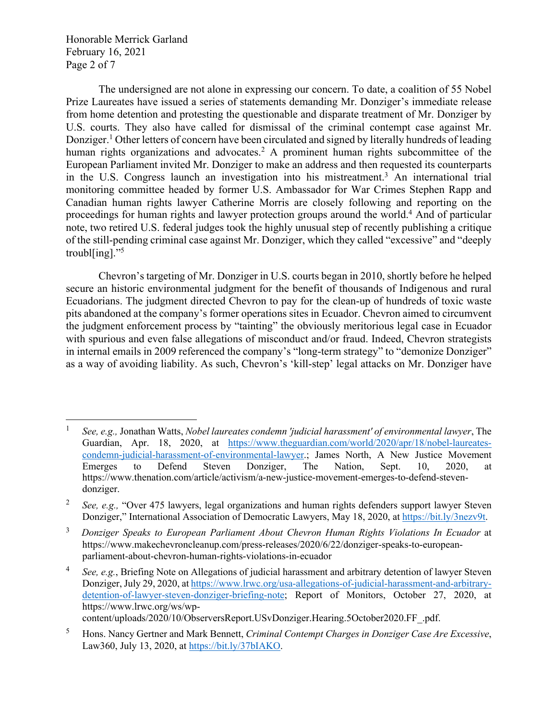Honorable Merrick Garland February 16, 2021 Page 2 of 7

The undersigned are not alone in expressing our concern. To date, a coalition of 55 Nobel Prize Laureates have issued a series of statements demanding Mr. Donziger's immediate release from home detention and protesting the questionable and disparate treatment of Mr. Donziger by U.S. courts. They also have called for dismissal of the criminal contempt case against Mr. Donziger.1 Other letters of concern have been circulated and signed by literally hundreds of leading human rights organizations and advocates.<sup>2</sup> A prominent human rights subcommittee of the European Parliament invited Mr. Donziger to make an address and then requested its counterparts in the U.S. Congress launch an investigation into his mistreatment.3 An international trial monitoring committee headed by former U.S. Ambassador for War Crimes Stephen Rapp and Canadian human rights lawyer Catherine Morris are closely following and reporting on the proceedings for human rights and lawyer protection groups around the world.<sup>4</sup> And of particular note, two retired U.S. federal judges took the highly unusual step of recently publishing a critique of the still-pending criminal case against Mr. Donziger, which they called "excessive" and "deeply troubl[ing]."5

Chevron's targeting of Mr. Donziger in U.S. courts began in 2010, shortly before he helped secure an historic environmental judgment for the benefit of thousands of Indigenous and rural Ecuadorians. The judgment directed Chevron to pay for the clean-up of hundreds of toxic waste pits abandoned at the company's former operations sites in Ecuador. Chevron aimed to circumvent the judgment enforcement process by "tainting" the obviously meritorious legal case in Ecuador with spurious and even false allegations of misconduct and/or fraud. Indeed, Chevron strategists in internal emails in 2009 referenced the company's "long-term strategy" to "demonize Donziger" as a way of avoiding liability. As such, Chevron's 'kill-step' legal attacks on Mr. Donziger have

<sup>1</sup> *See, e.g.,* Jonathan Watts, *Nobel laureates condemn 'judicial harassment' of environmental lawyer*, The Guardian, Apr. 18, 2020, at https://www.theguardian.com/world/2020/apr/18/nobel-laureatescondemn-judicial-harassment-of-environmental-lawyer.; James North, A New Justice Movement Emerges to Defend Steven Donziger, The Nation, Sept. 10, 2020, at https://www.thenation.com/article/activism/a-new-justice-movement-emerges-to-defend-stevendonziger.

<sup>&</sup>lt;sup>2</sup> *See, e.g.,* "Over 475 lawyers, legal organizations and human rights defenders support lawyer Steven Donziger," International Association of Democratic Lawyers, May 18, 2020, at https://bit.ly/3nezv9t.

<sup>3</sup> *Donziger Speaks to European Parliament About Chevron Human Rights Violations In Ecuador* at https://www.makechevroncleanup.com/press-releases/2020/6/22/donziger-speaks-to-europeanparliament-about-chevron-human-rights-violations-in-ecuador

<sup>4</sup> *See, e.g.*, Briefing Note on Allegations of judicial harassment and arbitrary detention of lawyer Steven Donziger, July 29, 2020, at https://www.lrwc.org/usa-allegations-of-judicial-harassment-and-arbitrarydetention-of-lawyer-steven-donziger-briefing-note; Report of Monitors, October 27, 2020, at https://www.lrwc.org/ws/wp-

content/uploads/2020/10/ObserversReport.USvDonziger.Hearing.5October2020.FF\_.pdf.

<sup>5</sup> Hons. Nancy Gertner and Mark Bennett, *Criminal Contempt Charges in Donziger Case Are Excessive*, Law360, July 13, 2020, at https://bit.ly/37bIAKO.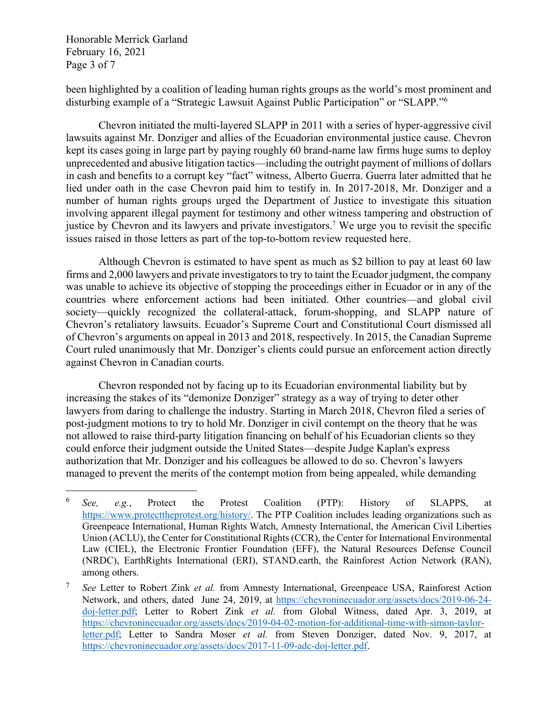Honorable Merrick Garland February 16, 2021 Page 3 of 7

been highlighted by a coalition of leading human rights groups as the world's most prominent and disturbing example of a "Strategic Lawsuit Against Public Participation" or "SLAPP."6

Chevron initiated the multi-layered SLAPP in 2011 with a series of hyper-aggressive civil lawsuits against Mr. Donziger and allies of the Ecuadorian environmental justice cause. Chevron kept its cases going in large part by paying roughly 60 brand-name law firms huge sums to deploy unprecedented and abusive litigation tactics—including the outright payment of millions of dollars in cash and benefits to a corrupt key "fact" witness, Alberto Guerra. Guerra later admitted that he lied under oath in the case Chevron paid him to testify in. In 2017-2018, Mr. Donziger and a number of human rights groups urged the Department of Justice to investigate this situation involving apparent illegal payment for testimony and other witness tampering and obstruction of justice by Chevron and its lawyers and private investigators.<sup>7</sup> We urge you to revisit the specific issues raised in those letters as part of the top-to-bottom review requested here.

Although Chevron is estimated to have spent as much as \$2 billion to pay at least 60 law firms and 2,000 lawyers and private investigators to try to taint the Ecuador judgment, the company was unable to achieve its objective of stopping the proceedings either in Ecuador or in any of the countries where enforcement actions had been initiated. Other countries—and global civil society—quickly recognized the collateral-attack, forum-shopping, and SLAPP nature of Chevron's retaliatory lawsuits. Ecuador's Supreme Court and Constitutional Court dismissed all of Chevron's arguments on appeal in 2013 and 2018, respectively. In 2015, the Canadian Supreme Court ruled unanimously that Mr. Donziger's clients could pursue an enforcement action directly against Chevron in Canadian courts.

Chevron responded not by facing up to its Ecuadorian environmental liability but by increasing the stakes of its "demonize Donziger" strategy as a way of trying to deter other lawyers from daring to challenge the industry. Starting in March 2018, Chevron filed a series of post-judgment motions to try to hold Mr. Donziger in civil contempt on the theory that he was not allowed to raise third-party litigation financing on behalf of his Ecuadorian clients so they could enforce their judgment outside the United States—despite Judge Kaplan's express authorization that Mr. Donziger and his colleagues be allowed to do so. Chevron's lawyers managed to prevent the merits of the contempt motion from being appealed, while demanding

<sup>6</sup> *See, e.g.*, Protect the Protest Coalition (PTP): History of SLAPPS, at https://www.protecttheprotest.org/history/. The PTP Coalition includes leading organizations such as Greenpeace International, Human Rights Watch, Amnesty International, the American Civil Liberties Union (ACLU), the Center for Constitutional Rights (CCR), the Center for International Environmental Law (CIEL), the Electronic Frontier Foundation (EFF), the Natural Resources Defense Council (NRDC), EarthRights International (ERI), STAND.earth, the Rainforest Action Network (RAN), among others.

<sup>7</sup> *See* Letter to Robert Zink *et al.* from Amnesty International, Greenpeace USA, Rainforest Action Network, and others, dated June 24, 2019, at https://chevroninecuador.org/assets/docs/2019-06-24 doj-letter.pdf; Letter to Robert Zink *et al.* from Global Witness, dated Apr. 3, 2019, at https://chevroninecuador.org/assets/docs/2019-04-02-motion-for-additional-time-with-simon-taylorletter.pdf; Letter to Sandra Moser *et al.* from Steven Donziger, dated Nov. 9, 2017, at https://chevroninecuador.org/assets/docs/2017-11-09-adc-doj-letter.pdf.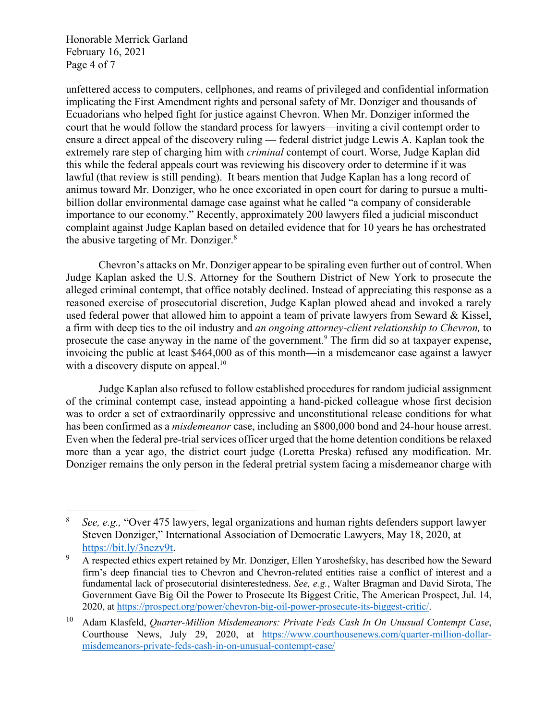Honorable Merrick Garland February 16, 2021 Page 4 of 7

unfettered access to computers, cellphones, and reams of privileged and confidential information implicating the First Amendment rights and personal safety of Mr. Donziger and thousands of Ecuadorians who helped fight for justice against Chevron. When Mr. Donziger informed the court that he would follow the standard process for lawyers—inviting a civil contempt order to ensure a direct appeal of the discovery ruling — federal district judge Lewis A. Kaplan took the extremely rare step of charging him with *criminal* contempt of court. Worse, Judge Kaplan did this while the federal appeals court was reviewing his discovery order to determine if it was lawful (that review is still pending). It bears mention that Judge Kaplan has a long record of animus toward Mr. Donziger, who he once excoriated in open court for daring to pursue a multibillion dollar environmental damage case against what he called "a company of considerable importance to our economy." Recently, approximately 200 lawyers filed a judicial misconduct complaint against Judge Kaplan based on detailed evidence that for 10 years he has orchestrated the abusive targeting of Mr. Donziger.8

Chevron's attacks on Mr. Donziger appear to be spiraling even further out of control. When Judge Kaplan asked the U.S. Attorney for the Southern District of New York to prosecute the alleged criminal contempt, that office notably declined. Instead of appreciating this response as a reasoned exercise of prosecutorial discretion, Judge Kaplan plowed ahead and invoked a rarely used federal power that allowed him to appoint a team of private lawyers from Seward & Kissel, a firm with deep ties to the oil industry and *an ongoing attorney-client relationship to Chevron,* to prosecute the case anyway in the name of the government.<sup>9</sup> The firm did so at taxpayer expense, invoicing the public at least \$464,000 as of this month—in a misdemeanor case against a lawyer with a discovery dispute on appeal.<sup>10</sup>

Judge Kaplan also refused to follow established procedures for random judicial assignment of the criminal contempt case, instead appointing a hand-picked colleague whose first decision was to order a set of extraordinarily oppressive and unconstitutional release conditions for what has been confirmed as a *misdemeanor* case, including an \$800,000 bond and 24-hour house arrest. Even when the federal pre-trial services officer urged that the home detention conditions be relaxed more than a year ago, the district court judge (Loretta Preska) refused any modification. Mr. Donziger remains the only person in the federal pretrial system facing a misdemeanor charge with

<sup>8</sup> *See, e.g.,* "Over 475 lawyers, legal organizations and human rights defenders support lawyer Steven Donziger," International Association of Democratic Lawyers, May 18, 2020, at https://bit.ly/3nezv9t.

<sup>&</sup>lt;sup>9</sup> A respected ethics expert retained by Mr. Donziger, Ellen Yaroshefsky, has described how the Seward firm's deep financial ties to Chevron and Chevron-related entities raise a conflict of interest and a fundamental lack of prosecutorial disinterestedness. *See, e.g.*, Walter Bragman and David Sirota, The Government Gave Big Oil the Power to Prosecute Its Biggest Critic, The American Prospect, Jul. 14, 2020, at https://prospect.org/power/chevron-big-oil-power-prosecute-its-biggest-critic/.

<sup>10</sup> Adam Klasfeld, *Quarter-Million Misdemeanors: Private Feds Cash In On Unusual Contempt Case*, Courthouse News, July 29, 2020, at https://www.courthousenews.com/quarter-million-dollarmisdemeanors-private-feds-cash-in-on-unusual-contempt-case/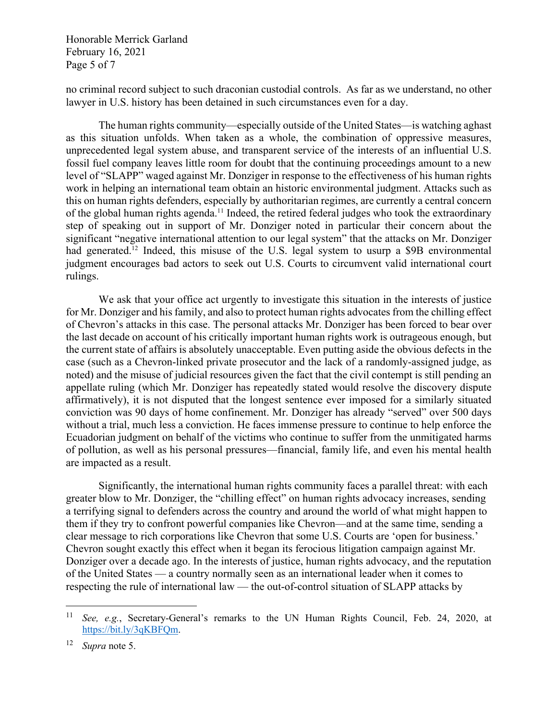Honorable Merrick Garland February 16, 2021 Page 5 of 7

no criminal record subject to such draconian custodial controls. As far as we understand, no other lawyer in U.S. history has been detained in such circumstances even for a day.

The human rights community—especially outside of the United States—is watching aghast as this situation unfolds. When taken as a whole, the combination of oppressive measures, unprecedented legal system abuse, and transparent service of the interests of an influential U.S. fossil fuel company leaves little room for doubt that the continuing proceedings amount to a new level of "SLAPP" waged against Mr. Donziger in response to the effectiveness of his human rights work in helping an international team obtain an historic environmental judgment. Attacks such as this on human rights defenders, especially by authoritarian regimes, are currently a central concern of the global human rights agenda.<sup>11</sup> Indeed, the retired federal judges who took the extraordinary step of speaking out in support of Mr. Donziger noted in particular their concern about the significant "negative international attention to our legal system" that the attacks on Mr. Donziger had generated.<sup>12</sup> Indeed, this misuse of the U.S. legal system to usurp a \$9B environmental judgment encourages bad actors to seek out U.S. Courts to circumvent valid international court rulings.

We ask that your office act urgently to investigate this situation in the interests of justice for Mr. Donziger and his family, and also to protect human rights advocates from the chilling effect of Chevron's attacks in this case. The personal attacks Mr. Donziger has been forced to bear over the last decade on account of his critically important human rights work is outrageous enough, but the current state of affairs is absolutely unacceptable. Even putting aside the obvious defects in the case (such as a Chevron-linked private prosecutor and the lack of a randomly-assigned judge, as noted) and the misuse of judicial resources given the fact that the civil contempt is still pending an appellate ruling (which Mr. Donziger has repeatedly stated would resolve the discovery dispute affirmatively), it is not disputed that the longest sentence ever imposed for a similarly situated conviction was 90 days of home confinement. Mr. Donziger has already "served" over 500 days without a trial, much less a conviction. He faces immense pressure to continue to help enforce the Ecuadorian judgment on behalf of the victims who continue to suffer from the unmitigated harms of pollution, as well as his personal pressures—financial, family life, and even his mental health are impacted as a result.

Significantly, the international human rights community faces a parallel threat: with each greater blow to Mr. Donziger, the "chilling effect" on human rights advocacy increases, sending a terrifying signal to defenders across the country and around the world of what might happen to them if they try to confront powerful companies like Chevron—and at the same time, sending a clear message to rich corporations like Chevron that some U.S. Courts are 'open for business.' Chevron sought exactly this effect when it began its ferocious litigation campaign against Mr. Donziger over a decade ago. In the interests of justice, human rights advocacy, and the reputation of the United States — a country normally seen as an international leader when it comes to respecting the rule of international law — the out-of-control situation of SLAPP attacks by

<sup>11</sup> *See, e.g.*, Secretary-General's remarks to the UN Human Rights Council, Feb. 24, 2020, at https://bit.ly/3qKBFQm.

<sup>12</sup> *Supra* note 5.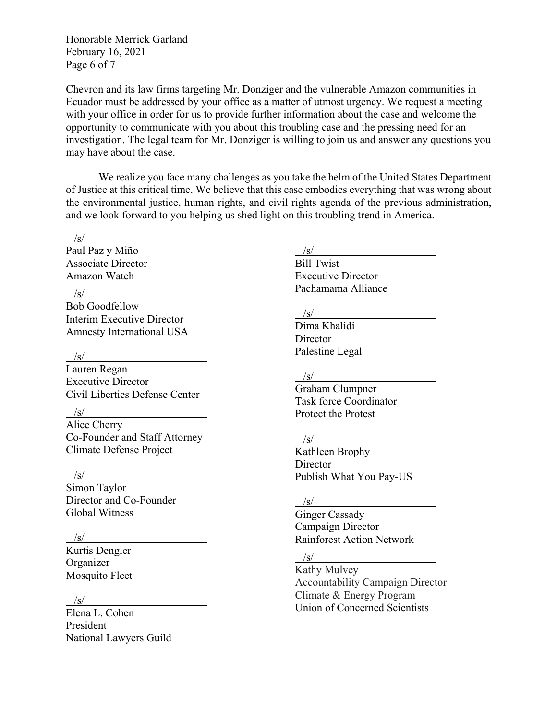Honorable Merrick Garland February 16, 2021 Page 6 of 7

Chevron and its law firms targeting Mr. Donziger and the vulnerable Amazon communities in Ecuador must be addressed by your office as a matter of utmost urgency. We request a meeting with your office in order for us to provide further information about the case and welcome the opportunity to communicate with you about this troubling case and the pressing need for an investigation. The legal team for Mr. Donziger is willing to join us and answer any questions you may have about the case.

We realize you face many challenges as you take the helm of the United States Department of Justice at this critical time. We believe that this case embodies everything that was wrong about the environmental justice, human rights, and civil rights agenda of the previous administration, and we look forward to you helping us shed light on this troubling trend in America.

### $\sqrt{s}$ /

Paul Paz y Miño Associate Director Amazon Watch

 $\sqrt{s}$ /

Bob Goodfellow Interim Executive Director Amnesty International USA

 $\sqrt{s}$ /s/

Lauren Regan Executive Director Civil Liberties Defense Center

 $\frac{1}{s}$ /s/

Alice Cherry Co-Founder and Staff Attorney Climate Defense Project

 $\frac{1}{s}$ 

Simon Taylor Director and Co-Founder Global Witness

### $\sqrt{s}$ /s/

Kurtis Dengler Organizer Mosquito Fleet

# $\sqrt{s}$ /

Elena L. Cohen President National Lawyers Guild

# /s/

Bill Twist Executive Director Pachamama Alliance

# $/\mathrm{s}/$

Dima Khalidi **Director** Palestine Legal

## $\sqrt{s}$ /

Graham Clumpner Task force Coordinator Protect the Protest

#### $\sqrt{s}$ /

Kathleen Brophy Director Publish What You Pay-US

## $/$ s/

Ginger Cassady Campaign Director Rainforest Action Network

# $/s/$

Kathy Mulvey Accountability Campaign Director Climate & Energy Program Union of Concerned Scientists